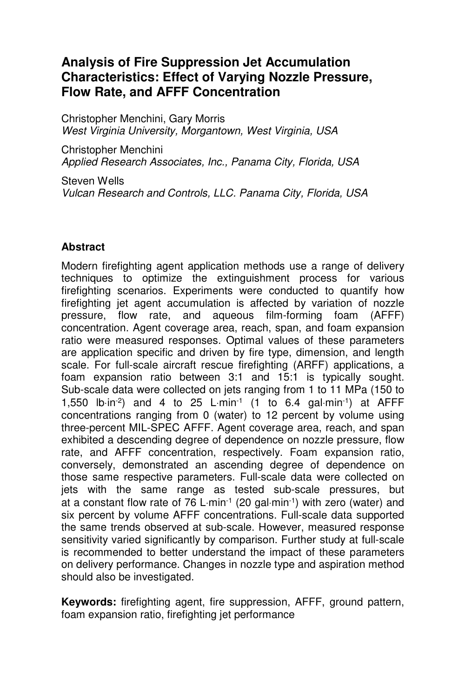# **Analysis of Fire Suppression Jet Accumulation Characteristics: Effect of Varying Nozzle Pressure, Flow Rate, and AFFF Concentration**

Christopher Menchini, Gary Morris West Virginia University, Morgantown, West Virginia, USA

Christopher Menchini Applied Research Associates, Inc., Panama City, Florida, USA

Steven Wells Vulcan Research and Controls, LLC. Panama City, Florida, USA

## **Abstract**

Modern firefighting agent application methods use a range of delivery techniques to optimize the extinguishment process for various firefighting scenarios. Experiments were conducted to quantify how firefighting jet agent accumulation is affected by variation of nozzle pressure, flow rate, and aqueous film-forming foam (AFFF) concentration. Agent coverage area, reach, span, and foam expansion ratio were measured responses. Optimal values of these parameters are application specific and driven by fire type, dimension, and length scale. For full-scale aircraft rescue firefighting (ARFF) applications, a foam expansion ratio between 3:1 and 15:1 is typically sought. Sub-scale data were collected on jets ranging from 1 to 11 MPa (150 to 1,550 lb⋅in-2) and 4 to 25 L⋅min-1 (1 to 6.4 gal⋅min-1) at AFFF concentrations ranging from 0 (water) to 12 percent by volume using three-percent MIL-SPEC AFFF. Agent coverage area, reach, and span exhibited a descending degree of dependence on nozzle pressure, flow rate, and AFFF concentration, respectively. Foam expansion ratio, conversely, demonstrated an ascending degree of dependence on those same respective parameters. Full-scale data were collected on jets with the same range as tested sub-scale pressures, but at a constant flow rate of 76 L⋅min-1 (20 gal⋅min-1) with zero (water) and six percent by volume AFFF concentrations. Full-scale data supported the same trends observed at sub-scale. However, measured response sensitivity varied significantly by comparison. Further study at full-scale is recommended to better understand the impact of these parameters on delivery performance. Changes in nozzle type and aspiration method should also be investigated.

**Keywords:** firefighting agent, fire suppression, AFFF, ground pattern, foam expansion ratio, firefighting jet performance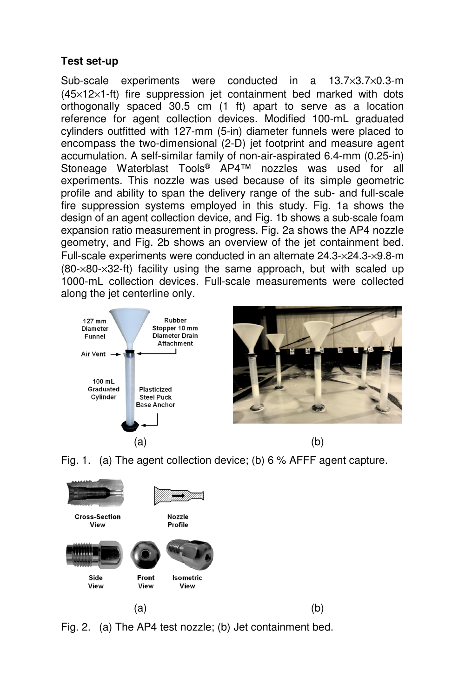## **Test set-up**

Sub-scale experiments were conducted in a 13.7×3.7×0.3-m (45×12×1-ft) fire suppression jet containment bed marked with dots orthogonally spaced 30.5 cm (1 ft) apart to serve as a location reference for agent collection devices. Modified 100-mL graduated cylinders outfitted with 127-mm (5-in) diameter funnels were placed to encompass the two-dimensional (2-D) jet footprint and measure agent accumulation. A self-similar family of non-air-aspirated 6.4-mm (0.25-in) Stoneage Waterblast Tools® AP4™ nozzles was used for all experiments. This nozzle was used because of its simple geometric profile and ability to span the delivery range of the sub- and full-scale fire suppression systems employed in this study. Fig. 1a shows the design of an agent collection device, and Fig. 1b shows a sub-scale foam expansion ratio measurement in progress. Fig. 2a shows the AP4 nozzle geometry, and Fig. 2b shows an overview of the jet containment bed. Full-scale experiments were conducted in an alternate 24.3-×24.3-×9.8-m  $(80-x80-x32$ -ft) facility using the same approach, but with scaled up 1000-mL collection devices. Full-scale measurements were collected along the jet centerline only.



Fig. 1. (a) The agent collection device; (b) 6 % AFFF agent capture.



Fig. 2. (a) The AP4 test nozzle; (b) Jet containment bed.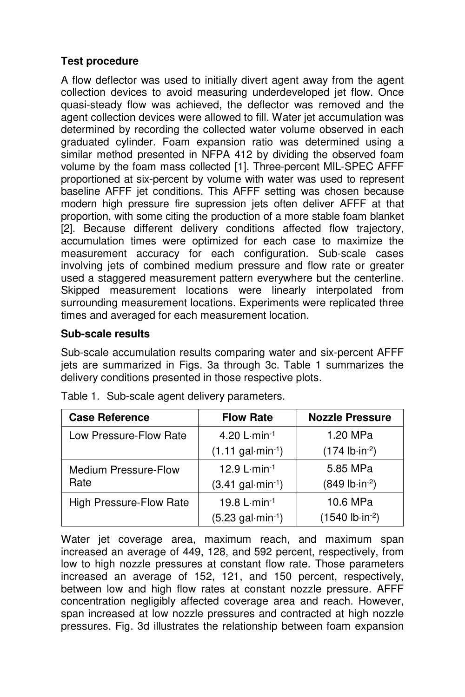## **Test procedure**

A flow deflector was used to initially divert agent away from the agent collection devices to avoid measuring underdeveloped jet flow. Once quasi-steady flow was achieved, the deflector was removed and the agent collection devices were allowed to fill. Water jet accumulation was determined by recording the collected water volume observed in each graduated cylinder. Foam expansion ratio was determined using a similar method presented in NFPA 412 by dividing the observed foam volume by the foam mass collected [1]. Three-percent MIL-SPEC AFFF proportioned at six-percent by volume with water was used to represent baseline AFFF jet conditions. This AFFF setting was chosen because modern high pressure fire supression jets often deliver AFFF at that proportion, with some citing the production of a more stable foam blanket [2]. Because different delivery conditions affected flow trajectory, accumulation times were optimized for each case to maximize the measurement accuracy for each configuration. Sub-scale cases involving jets of combined medium pressure and flow rate or greater used a staggered measurement pattern everywhere but the centerline. Skipped measurement locations were linearly interpolated from surrounding measurement locations. Experiments were replicated three times and averaged for each measurement location.

## **Sub-scale results**

Sub-scale accumulation results comparing water and six-percent AFFF jets are summarized in Figs. 3a through 3c. Table 1 summarizes the delivery conditions presented in those respective plots.

| <b>Case Reference</b>       | <b>Flow Rate</b>                  | <b>Nozzle Pressure</b>    |
|-----------------------------|-----------------------------------|---------------------------|
| Low Pressure-Flow Rate      | 4.20 L-min-1                      | 1.20 MPa                  |
|                             | $(1.11$ gal $\cdot$ min $^{-1}$ ) | $(174 lb in-2)$           |
| <b>Medium Pressure-Flow</b> | 12.9 $L·min-1$                    | 5.85 MPa                  |
| Rate                        | $(3.41 gal·min-1)$                | $(849 lb in-2)$           |
| High Pressure-Flow Rate     | 19.8 $L·min-1$                    | 10.6 MPa                  |
|                             | $(5.23 \text{ gal·min-1})$        | $(1540 lb \cdot in^{-2})$ |

Table 1. Sub-scale agent delivery parameters.

Water jet coverage area, maximum reach, and maximum span increased an average of 449, 128, and 592 percent, respectively, from low to high nozzle pressures at constant flow rate. Those parameters increased an average of 152, 121, and 150 percent, respectively, between low and high flow rates at constant nozzle pressure. AFFF concentration negligibly affected coverage area and reach. However, span increased at low nozzle pressures and contracted at high nozzle pressures. Fig. 3d illustrates the relationship between foam expansion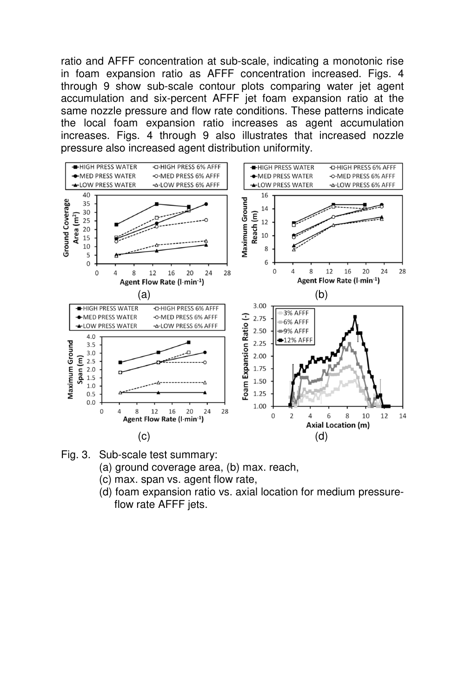ratio and AFFF concentration at sub-scale, indicating a monotonic rise in foam expansion ratio as AFFF concentration increased. Figs. 4 through 9 show sub-scale contour plots comparing water jet agent accumulation and six-percent AFFF jet foam expansion ratio at the same nozzle pressure and flow rate conditions. These patterns indicate the local foam expansion ratio increases as agent accumulation increases. Figs. 4 through 9 also illustrates that increased nozzle pressure also increased agent distribution uniformity.



- Fig. 3. Sub-scale test summary:
	- (a) ground coverage area, (b) max. reach,
	- (c) max. span vs. agent flow rate,
	- (d) foam expansion ratio vs. axial location for medium pressureflow rate AFFF jets.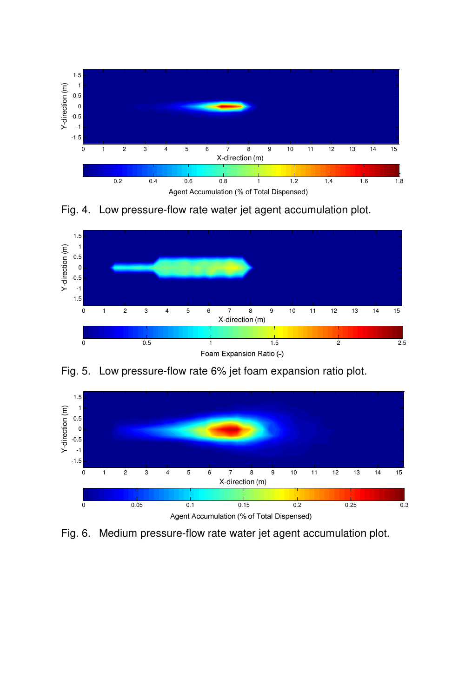

Fig. 4. Low pressure-flow rate water jet agent accumulation plot.





Fig. 5. Low pressure-flow rate 6% jet foam expansion ratio plot.

Fig. 6. Medium pressure-flow rate water jet agent accumulation plot.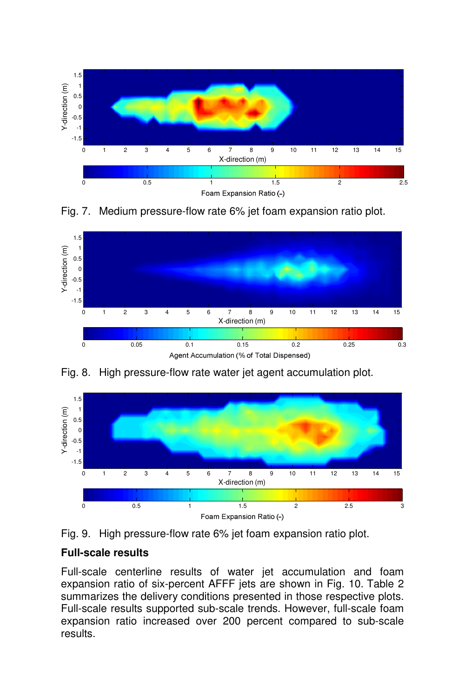

Fig. 7. Medium pressure-flow rate 6% jet foam expansion ratio plot.





Fig. 8. High pressure-flow rate water jet agent accumulation plot.

Fig. 9. High pressure-flow rate 6% jet foam expansion ratio plot.

## **Full-scale results**

Full-scale centerline results of water jet accumulation and foam expansion ratio of six-percent AFFF jets are shown in Fig. 10. Table 2 summarizes the delivery conditions presented in those respective plots. Full-scale results supported sub-scale trends. However, full-scale foam expansion ratio increased over 200 percent compared to sub-scale results.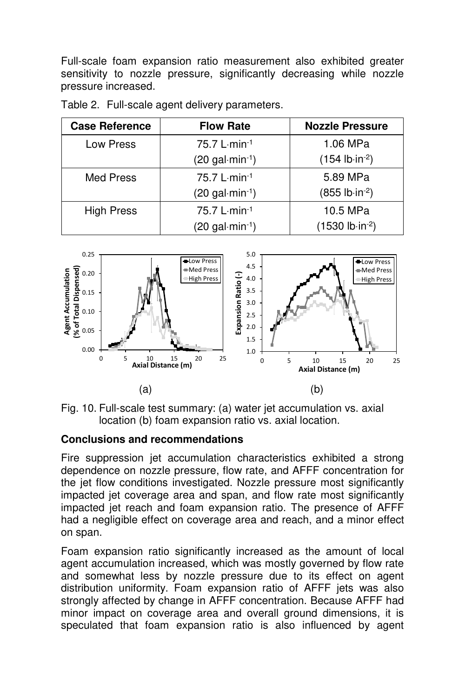Full-scale foam expansion ratio measurement also exhibited greater sensitivity to nozzle pressure, significantly decreasing while nozzle pressure increased.

| <b>Case Reference</b> | <b>Flow Rate</b>                             | <b>Nozzle Pressure</b>   |
|-----------------------|----------------------------------------------|--------------------------|
| Low Press             | 75.7 L min-1                                 | 1.06 MPa                 |
|                       | $(20 \text{ gal·min-1})$                     | $(154 lb in-2)$          |
| Med Press             | $75.7 L·min-1$                               | 5.89 MPa                 |
|                       | $(20$ gal $\cdot$ min $\cdot$ <sup>1</sup> ) | $(855 lb \cdot in^{-2})$ |
| <b>High Press</b>     | 75.7 L-min-1                                 | 10.5 MPa                 |
|                       | $(20 \text{ gal·min-1})$                     | $(1530 lb·in-2)$         |

Table 2. Full-scale agent delivery parameters.





## **Conclusions and recommendations**

Fire suppression jet accumulation characteristics exhibited a strong dependence on nozzle pressure, flow rate, and AFFF concentration for the jet flow conditions investigated. Nozzle pressure most significantly impacted jet coverage area and span, and flow rate most significantly impacted jet reach and foam expansion ratio. The presence of AFFF had a negligible effect on coverage area and reach, and a minor effect on span.

Foam expansion ratio significantly increased as the amount of local agent accumulation increased, which was mostly governed by flow rate and somewhat less by nozzle pressure due to its effect on agent distribution uniformity. Foam expansion ratio of AFFF jets was also strongly affected by change in AFFF concentration. Because AFFF had minor impact on coverage area and overall ground dimensions, it is speculated that foam expansion ratio is also influenced by agent